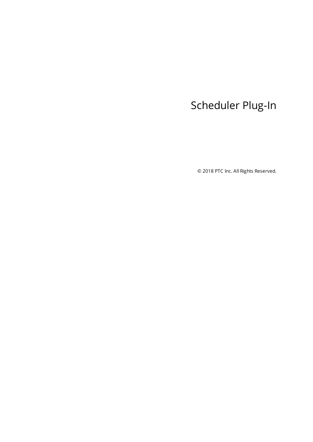# <span id="page-0-0"></span>Scheduler Plug-In

© 2018 PTC Inc. All Rights Reserved.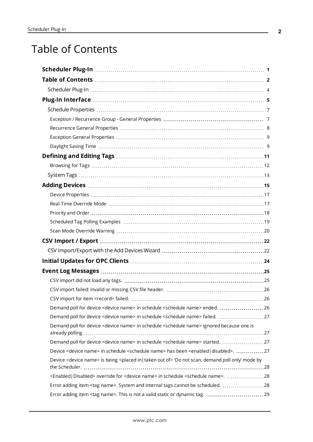# <span id="page-1-0"></span>Table of Contents

| Demand poll for device <device name=""> in schedule <schedule name=""> ended.  26</schedule></device>                                |  |
|--------------------------------------------------------------------------------------------------------------------------------------|--|
| Demand poll for device <device name=""> in schedule <schedule name=""> failed.  27</schedule></device>                               |  |
| Demand poll for device <device name=""> in schedule <schedule name=""> ignored because one is</schedule></device>                    |  |
| Demand poll for device <device name=""> in schedule <schedule name=""> started.  27</schedule></device>                              |  |
| Device <device name=""> in schedule <schedule name=""> has been <enabled disabled=""  ="">. 27</enabled></schedule></device>         |  |
| Device <device name=""> is being <placed in="" of="" out="" taken=""  =""> 'Do not scan, demand poll only' mode by</placed></device> |  |
| <enabled disabled=""  =""> override for <device name=""> in schedule <schedule name="">. 28</schedule></device></enabled>            |  |
| Error adding item <tag name="">. System and internal tags cannot be scheduled. 28</tag>                                              |  |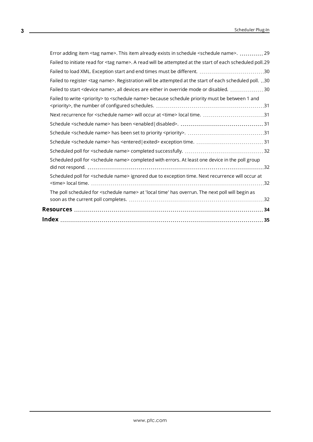| Error adding item <tag name="">. This item already exists in schedule <schedule name="">.  29</schedule></tag>         |  |
|------------------------------------------------------------------------------------------------------------------------|--|
| Failed to initiate read for <tag name="">. A read will be attempted at the start of each scheduled poll.29</tag>       |  |
| Failed to load XML. Exception start and end times must be different. 30                                                |  |
| Failed to register <tag name="">. Registration will be attempted at the start of each scheduled poll.30</tag>          |  |
| Failed to start <device name="">, all devices are either in override mode or disabled. 30</device>                     |  |
| Failed to write <priority> to <schedule name=""> because schedule priority must be between 1 and</schedule></priority> |  |
| Next recurrence for <schedule name=""> will occur at <time> local time. 31</time></schedule>                           |  |
|                                                                                                                        |  |
|                                                                                                                        |  |
|                                                                                                                        |  |
|                                                                                                                        |  |
| Scheduled poll for <schedule name=""> completed with errors. At least one device in the poll group</schedule>          |  |
| Scheduled poll for <schedule name=""> ignored due to exception time. Next recurrence will occur at</schedule>          |  |
| The poll scheduled for <schedule name=""> at 'local time' has overrun. The next poll will begin as</schedule>          |  |
|                                                                                                                        |  |
|                                                                                                                        |  |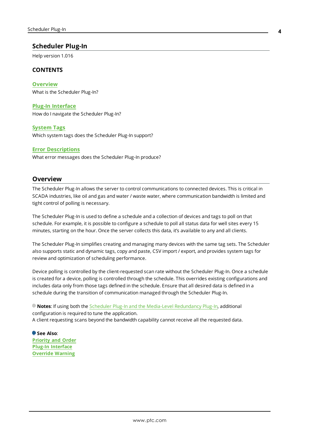### <span id="page-3-0"></span>**Scheduler Plug-In**

Help version 1.016

### **CONTENTS**

**[Overview](#page-3-1)** What is the Scheduler Plug-In?

#### **Plug-In [Interface](#page-4-0)**

How do I navigate the Scheduler Plug-In?

#### **[System](#page-12-0) Tags**

Which system tags does the Scheduler Plug-In support?

#### **Error [Descriptions](#page-24-0)**

What error messages does the Scheduler Plug-In produce?

### <span id="page-3-1"></span>**Overview**

The Scheduler Plug-In allows the server to control communications to connected devices. This is critical in SCADA industries, like oil and gas and water / waste water, where communication bandwidth is limited and tight control of polling is necessary.

The Scheduler Plug-In is used to define a schedule and a collection of devices and tags to poll on that schedule. For example, it is possible to configure a schedule to poll all status data for well sites every 15 minutes, starting on the hour. Once the server collects this data, it's available to any and all clients.

The Scheduler Plug-In simplifies creating and managing many devices with the same tag sets. The Scheduler also supports static and dynamic tags, copy and paste, CSV import / export, and provides system tags for review and optimization of scheduling performance.

Device polling is controlled by the client-requested scan rate without the Scheduler Plug-In. Once a schedule is created for a device, polling is controlled through the schedule. This overrides existing configurations and includes data only from those tags defined in the schedule. Ensure that all desired data is defined in a schedule during the transition of communication managed through the Scheduler Plug-In.

**Notes**: If using both the Scheduler Plug-In and the Media-Level [Redundancy](#page-19-1) Plug-In, additional configuration is required to tune the application. A client requesting scans beyond the bandwidth capability cannot receive all the requested data.

**See Also**: **[Priority](#page-17-0) and Order Plug-In [Interface](#page-4-0) [Override](#page-19-0) Warning**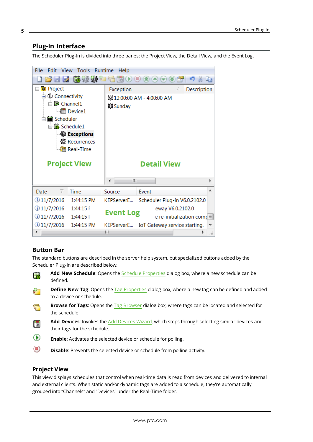### <span id="page-4-0"></span>**Plug-In Interface**

The Scheduler Plug-In is divided into three panes: the Project View, the Detail View, and the Event Log.

| File<br>Edit<br><b>View</b><br>Tools<br>Runtime<br>Help |                     |                  |                                        |  |  |
|---------------------------------------------------------|---------------------|------------------|----------------------------------------|--|--|
| ■■■图案案                                                  |                     |                  |                                        |  |  |
| <b>Project</b>                                          |                     | Exception        | Description<br>7.                      |  |  |
| ⊟ (⊪) Connectivity                                      |                     |                  | ※12:00:00 AM - 4:00:00 AM              |  |  |
| $\Box$ Channel 1                                        |                     | ※Sunday          |                                        |  |  |
|                                                         | <b>Device1</b>      |                  |                                        |  |  |
| · Scheduler                                             |                     |                  |                                        |  |  |
| 白色 Schedule1                                            |                     |                  |                                        |  |  |
|                                                         | ※ Exceptions        |                  |                                        |  |  |
|                                                         | 3% Recurrences      |                  |                                        |  |  |
|                                                         | <b>Real-Time</b>    |                  |                                        |  |  |
|                                                         |                     |                  |                                        |  |  |
|                                                         | <b>Project View</b> |                  | <b>Detail View</b>                     |  |  |
|                                                         |                     |                  |                                        |  |  |
|                                                         |                     | Ш                |                                        |  |  |
| V.<br>Date                                              | Time                | Source           | Event                                  |  |  |
| $\bigcirc$ 11/7/2016                                    | 1:44:15 PM          | KEPServerE       | Scheduler Plug-in V6.0.2102.0          |  |  |
| $①$ 11/7/2016                                           | $1:44:15$ F         |                  | eway V6.0.2102.0                       |  |  |
| $\overline{0}$ 11/7/2016                                | $1:44:15$ F         | <b>Event Log</b> | e re-initialization com $\sharp\equiv$ |  |  |
| $\overline{0}$ 11/7/2016                                | 1:44:15 PM          | KEPServerE       | IoT Gateway service starting.          |  |  |
|                                                         |                     | Ш                | 444                                    |  |  |

### <span id="page-4-1"></span>**Button Bar**

The standard buttons are described in the server help system, but specialized buttons added by the Scheduler Plug-In are described below:

- **Add New Schedule**: Opens the Schedule [Properties](#page-6-0) dialog box, where a new schedule can be F defined.
	- **Define New Tag**: Opens the Tag [Properties](#page-6-0) dialog box, where a new tag can be defined and added to a device or schedule.
- **Browse for Tags**: Opens the Tag [Browser](#page-6-0) dialog box, where tags can be located and selected for a the schedule.
- **Add Devices**: Invokes the Add [Devices](#page-14-0) Wizard, which steps through selecting similar devices and l. their tags for the schedule.
- ⊙ **Enable**: Activates the selected device or schedule for polling.
- $\circledcirc$ **Disable**: Prevents the selected device or schedule from polling activity.

#### <span id="page-4-2"></span>**Project View**

This view displays schedules that control when real-time data is read from devices and delivered to internal and external clients. When static and/or dynamic tags are added to a schedule, they're automatically grouped into "Channels" and "Devices" under the Real-Time folder.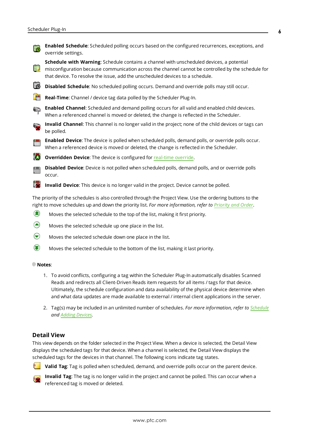

right to move schedules up and down the priority list. *For more information, refer to [Priority](#page-17-0) and Order*.

- ☎ Moves the selected schedule to the top of the list, making it first priority.
- ♠ Moves the selected schedule up one place in the list.
- ⊝ Moves the selected schedule down one place in the list.
- ◉ Moves the selected schedule to the bottom of the list, making it last priority.

#### **Notes**:

- 1. To avoid conflicts, configuring a tag within the Scheduler Plug-In automatically disables Scanned Reads and redirects all Client-Driven Reads item requests for all items / tags for that device. Ultimately, the schedule configuration and data availability of the physical device determine when and what data updates are made available to external / internal client applications in the server.
- 2. Tag(s) may be included in an unlimited number of schedules. *For more information, refer to [Schedule](#page-6-0) and Adding [Devices.](#page-14-0)*

#### <span id="page-5-0"></span>**Detail View**

This view depends on the folder selected in the Project View. When a device is selected, the Detail View displays the scheduled tags for that device. When a channel is selected, the Detail View displays the scheduled tags for the devices in that channel. The following icons indicate tag states.



**Valid Tag**: Tag is polled when scheduled, demand, and override polls occur on the parent device.



**Invalid Tag**: The tag is no longer valid in the project and cannot be polled. This can occur when a referenced tag is moved or deleted.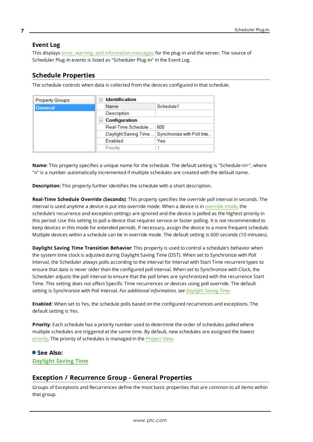### <span id="page-6-2"></span>**Event Log**

This displays error, warning, and [information](#page-24-0) messages for the plug-in and the server. The source of Scheduler Plug-In events is listed as "Scheduler Plug-In" in the Event Log.

### <span id="page-6-0"></span>**Schedule Properties**

The schedule controls when data is collected from the devices configured in that schedule.

| <b>Property Groups</b> | <b>Identification</b><br>$\overline{\phantom{0}}$ |                            |  |  |
|------------------------|---------------------------------------------------|----------------------------|--|--|
| General                | Name                                              | Schedule1                  |  |  |
|                        | Description                                       |                            |  |  |
|                        | <b>Configuration</b>                              |                            |  |  |
|                        | 600<br>Real-Time Schedule                         |                            |  |  |
|                        | Daylight Saving Time                              | Synchronize with Poll Inte |  |  |
|                        | Enabled                                           | Yes                        |  |  |
|                        | Priority                                          |                            |  |  |

**Name**: This property specifies a unique name for the schedule. The default setting is "Schedule*<n>*", where "n" is a number automatically incremented if multiple schedules are created with the default name.

**Description:** This property further identifies the schedule with a short description.

**Real-Time Schedule Override (Seconds)**: This property specifies the override poll interval in seconds. The interval is used anytime a device is put into [override](#page-16-1) mode. When a device is in override mode, the schedule's recurrence and exception settings are ignored and the device is polled as the highest priority in this period. Use this setting to poll a device that requires service or faster polling. It is not recommended to keep devices in this mode for extended periods. If necessary, assign the device to a more frequent schedule. Multiple devices within a schedule can be in override mode. The default setting is 600 seconds (10 minutes).

**Daylight Saving Time Transition Behavior**: This property is used to control a schedule's behavior when the system time clock is adjusted during Daylight Saving Time (DST). When set to Synchronize with Poll Interval, the Scheduler always polls according to the interval for Interval with Start Time recurrent types to ensure that data is never older than the configured poll interval. When set to Synchronize with Clock, the Scheduler adjusts the poll interval to ensure that the poll times are synchronized with the recurrence Start Time. This setting does not affect Specific Time recurrences or devices using poll override. The default setting is Synchronize with Poll Interval. *For additional information, see [Daylight](#page-8-1) Saving Time.*

**Enabled**: When set to Yes, the schedule polls based on the configured recurrences and exceptions. The default setting is Yes.

**Priority**: Each schedule has a priority number used to determine the order of schedules polled where multiple schedules are triggered at the same time. By default, new schedules are assigned the lowest [priority.](#page-17-0) The priority of schedules is managed in the [Project](#page-4-0) View.

### **See Also: [Daylight](#page-8-1) Saving Time**

### <span id="page-6-1"></span>**Exception / Recurrence Group - General Properties**

Groups of Exceptions and Recurrences define the most basic properties that are common to all items within that group.

**7**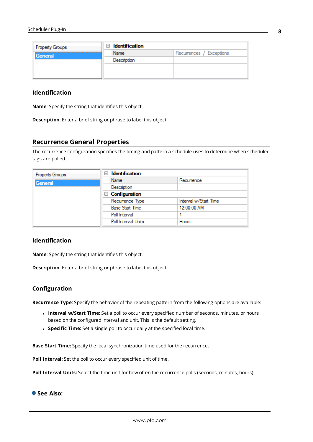| <b>Property Groups</b> | <b>Identification</b><br>$-$ |                          |
|------------------------|------------------------------|--------------------------|
| General                | Name                         | Recurrences / Exceptions |
|                        | Description                  |                          |
|                        |                              |                          |
|                        |                              |                          |

### **Identification**

**Name**: Specify the string that identifies this object.

**Description**: Enter a brief string or phrase to label this object.

#### <span id="page-7-0"></span>**Recurrence General Properties**

The recurrence configuration specifies the timing and pattern a schedule uses to determine when scheduled tags are polled.

| <b>Property Groups</b> | <b>Identification</b><br>ы |                       |
|------------------------|----------------------------|-----------------------|
| General                | Name                       | Recurrence            |
|                        | Description                |                       |
|                        | $\Box$ Configuration       |                       |
|                        | Recurrence Type            | Interval w/Start Time |
|                        | <b>Base Start Time</b>     | 12:00:00 AM           |
|                        | Poll Interval              |                       |
|                        | Poll Interval Units        | <b>Hours</b>          |

### **Identification**

**Name**: Specify the string that identifies this object.

**Description**: Enter a brief string or phrase to label this object.

#### **Configuration**

**Recurrence Type**: Specify the behavior of the repeating pattern from the following options are available:

- <sup>l</sup> **Interval w/Start Time:** Set a poll to occur every specified number of seconds, minutes, or hours based on the configured interval and unit. This is the default setting.
- <sup>l</sup> **Specific Time:** Set a single poll to occur daily at the specified local time.

**Base Start Time:** Specify the local synchronization time used for the recurrence.

**Poll Interval:** Set the poll to occur every specified unit of time.

**Poll Interval Units:** Select the time unit for how often the recurrence polls (seconds, minutes, hours).

**See Also:**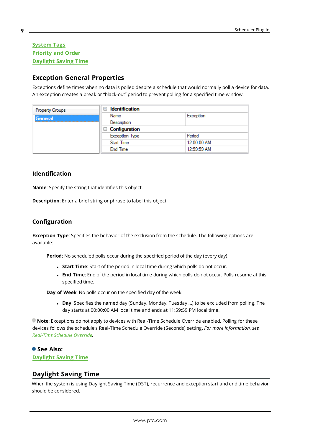### **[System](#page-12-0) Tags [Priority](#page-17-0) and Order [Daylight](#page-8-1) Saving Time**

### <span id="page-8-0"></span>**Exception General Properties**

Exceptions define times when no data is polled despite a schedule that would normally poll a device for data. An exception creates a break or "black-out" period to prevent polling for a specified time window.

| <b>Property Groups</b> | <b>Identification</b><br>$\equiv$ |             |
|------------------------|-----------------------------------|-------------|
| General                | Name                              | Exception   |
|                        | Description                       |             |
|                        | $\Box$ Configuration              |             |
|                        | <b>Exception Type</b>             | Period      |
|                        | <b>Start Time</b>                 | 12:00:00 AM |
|                        | <b>End Time</b>                   | 12:59:59 AM |

### **Identification**

**Name**: Specify the string that identifies this object.

**Description**: Enter a brief string or phrase to label this object.

### **Configuration**

**Exception Type**: Specifies the behavior of the exclusion from the schedule. The following options are available:

**Period**: No scheduled polls occur during the specified period of the day (every day).

- **.** Start Time: Start of the period in local time during which polls do not occur.
- **End Time**: End of the period in local time during which polls do not occur. Polls resume at this specified time.

**Day of Week**: No polls occur on the specified day of the week.

**Day**: Specifies the named day (Sunday, Monday, Tuesday ...) to be excluded from polling. The day starts at 00:00:00 AM local time and ends at 11:59:59 PM local time.

**Note**: Exceptions do not apply to devices with Real-Time Schedule Override enabled. Polling for these devices follows the schedule's Real-Time Schedule Override (Seconds) setting. *For more information, see [Real-Time](#page-16-1) Schedule Override.*

### **See Also:**

<span id="page-8-1"></span>**[Daylight](#page-8-1) Saving Time**

### **Daylight Saving Time**

When the system is using Daylight Saving Time (DST), recurrence and exception start and end time behavior should be considered.

**9**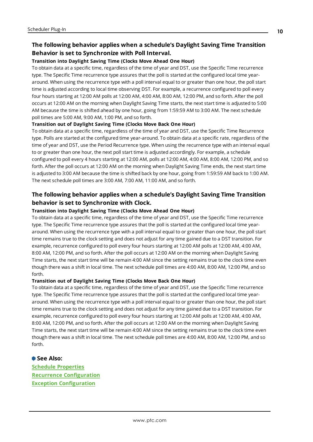### **The following behavior applies when a schedule's Daylight Saving Time Transition Behavior is set to Synchronize with Poll Interval.**

#### **Transition into Daylight Saving Time (Clocks Move Ahead One Hour)**

To obtain data at a specific time, regardless of the time of year and DST, use the Specific Time recurrence type. The Specific Time recurrence type assures that the poll is started at the configured local time yeararound. When using the recurrence type with a poll interval equal to or greater than one hour, the poll start time is adjusted according to local time observing DST. For example, a recurrence configured to poll every four hours starting at 12:00 AM polls at 12:00 AM, 4:00 AM, 8:00 AM, 12:00 PM, and so forth. After the poll occurs at 12:00 AM on the morning when Daylight Saving Time starts, the next start time is adjusted to 5:00 AM because the time is shifted ahead by one hour, going from 1:59:59 AM to 3:00 AM. The next schedule poll times are 5:00 AM, 9:00 AM, 1:00 PM, and so forth.

#### **Transition out of Daylight Saving Time (Clocks Move Back One Hour)**

To obtain data at a specific time, regardless of the time of year and DST, use the Specific Time Recurrence type. Polls are started at the configured time year-around. To obtain data at a specific rate, regardless of the time of year and DST, use the Period Recurrence type. When using the recurrence type with an interval equal to or greater than one hour, the next poll start time is adjusted accordingly. For example, a schedule configured to poll every 4 hours starting at 12:00 AM, polls at 12:00 AM, 4:00 AM, 8:00 AM, 12:00 PM, and so forth. After the poll occurs at 12:00 AM on the morning when Daylight Saving Time ends, the next start time is adjusted to 3:00 AM because the time is shifted back by one hour, going from 1:59:59 AM back to 1:00 AM. The next schedule poll times are 3:00 AM, 7:00 AM, 11:00 AM, and so forth.

### **The following behavior applies when a schedule's Daylight Saving Time Transition behavior is set to Synchronize with Clock.**

#### **Transition into Daylight Saving Time (Clocks Move Ahead One Hour)**

To obtain data at a specific time, regardless of the time of year and DST, use the Specific Time recurrence type. The Specific Time recurrence type assures that the poll is started at the configured local time yeararound. When using the recurrence type with a poll interval equal to or greater than one hour, the poll start time remains true to the clock setting and does not adjust for any time gained due to a DST transition. For example, recurrence configured to poll every four hours starting at 12:00 AM polls at 12:00 AM, 4:00 AM, 8:00 AM, 12:00 PM, and so forth. After the poll occurs at 12:00 AM on the morning when Daylight Saving Time starts, the next start time will be remain 4:00 AM since the setting remains true to the clock time even though there was a shift in local time. The next schedule poll times are 4:00 AM, 8:00 AM, 12:00 PM, and so forth.

#### **Transition out of Daylight Saving Time (Clocks Move Back One Hour)**

To obtain data at a specific time, regardless of the time of year and DST, use the Specific Time recurrence type. The Specific Time recurrence type assures that the poll is started at the configured local time yeararound. When using the recurrence type with a poll interval equal to or greater than one hour, the poll start time remains true to the clock setting and does not adjust for any time gained due to a DST transition. For example, recurrence configured to poll every four hours starting at 12:00 AM polls at 12:00 AM, 4:00 AM, 8:00 AM, 12:00 PM, and so forth. After the poll occurs at 12:00 AM on the morning when Daylight Saving Time starts, the next start time will be remain 4:00 AM since the setting remains true to the clock time even though there was a shift in local time. The next schedule poll times are 4:00 AM, 8:00 AM, 12:00 PM, and so forth.

**See Also: Schedule [Properties](#page-6-0) Recurrence [Configuration](#page-7-0) Exception [Configuration](#page-8-0)**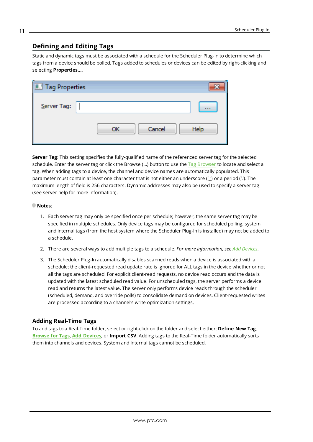### <span id="page-10-0"></span>**Defining and Editing Tags**

Static and dynamic tags must be associated with a schedule for the Scheduler Plug-In to determine which tags from a device should be polled. Tags added to schedules or devices can be edited by right-clicking and selecting **Properties…**.

| Tag Properties |              |      |
|----------------|--------------|------|
| Server Tag:    |              | 1111 |
|                | Cancel<br>OK | Help |

**Server Tag**: This setting specifies the fully-qualified name of the referenced server tag for the selected schedule. Enter the server tag or click the Browse (...) button to use the Tag [Browser](#page-11-0) to locate and select a tag. When adding tags to a device, the channel and device names are automatically populated. This parameter must contain at least one character that is not either an underscore (') or a period ('.'). The maximum length of field is 256 characters. Dynamic addresses may also be used to specify a server tag (see server help for more information).

#### **Notes**:

- 1. Each server tag may only be specified once per schedule; however, the same server tag may be specified in multiple schedules. Only device tags may be configured for scheduled polling; system and internal tags (from the host system where the Scheduler Plug-In is installed) may not be added to a schedule.
- 2. There are several ways to add multiple tags to a schedule. *For more information, see Add [Devices](#page-14-0)*.
- 3. The Scheduler Plug-In automatically disables scanned reads when a device is associated with a schedule; the client-requested read update rate is ignored for ALL tags in the device whether or not all the tags are scheduled. For explicit client-read requests, no device read occurs and the data is updated with the latest scheduled read value. For unscheduled tags, the server performs a device read and returns the latest value. The server only performs device reads through the scheduler (scheduled, demand, and override polls) to consolidate demand on devices. Client-requested writes are processed according to a channel's write optimization settings.

### **Adding Real-Time Tags**

To add tags to a Real-Time folder, select or right-click on the folder and select either: **Define New Tag**, **[Browse](#page-11-0) for Tags**, **Add [Devices](#page-14-0)**, or **Import CSV**. Adding tags to the Real-Time folder automatically sorts them into channels and devices. System and Internal tags cannot be scheduled.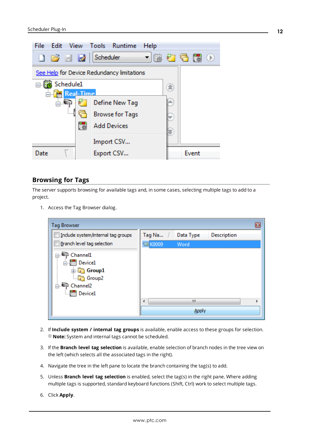

### <span id="page-11-0"></span>**Browsing for Tags**

The server supports browsing for available tags and, in some cases, selecting multiple tags to add to a project.

1. Access the Tag Browser dialog.

| <b>Tag Browser</b>                                                                                                   |                 |            | Đ           |
|----------------------------------------------------------------------------------------------------------------------|-----------------|------------|-------------|
| Include system/internal tag groups                                                                                   | Tag Na          | Data Type  | Description |
| Branch level tag selection                                                                                           | <b>EN K0009</b> | Word       |             |
| <b>■ Channel1</b><br><b>IIII</b> Device1<br>由 Group1<br><b>Group2</b><br>Channel <sub>2</sub><br><b>IIII</b> Device1 |                 |            |             |
|                                                                                                                      | ∢               | Ш<br>Apply |             |

- 2. If **Include system / internal tag groups** is available, enable access to these groups for selection. **Note:** System and internal tags cannot be scheduled.
- 3. If the **Branch level tag selection** is available, enable selection of branch nodes in the tree view on the left (which selects all the associated tags in the right).
- 4. Navigate the tree in the left pane to locate the branch containing the tag(s) to add.
- 5. Unless **Branch level tag selection** is enabled, select the tag(s) in the right pane. Where adding multiple tags is supported, standard keyboard functions (Shift, Ctrl) work to select multiple tags.
- 6. Click **Apply**.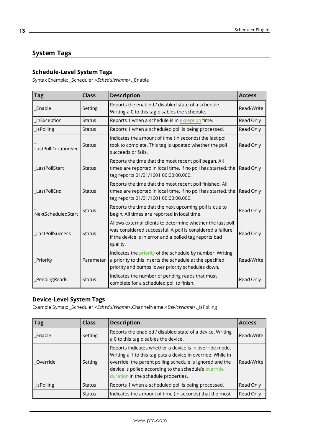### <span id="page-12-0"></span>**System Tags**

### **Schedule-Level System Tags**

Syntax Example: \_Scheduler.<*ScheduleName*>.\_Enable

| $\vert$ Tag         | <b>Class</b>  | <b>Description</b>                                                                                                                                                                            | <b>Access</b> |
|---------------------|---------------|-----------------------------------------------------------------------------------------------------------------------------------------------------------------------------------------------|---------------|
| Enable              | Setting       | Reports the enabled / disabled state of a schedule.<br>Writing a 0 to this tag disables the schedule.                                                                                         | Read/Write    |
| InException         | <b>Status</b> | Reports 1 when a schedule is in exception time.                                                                                                                                               | Read Only     |
| <b>IsPolling</b>    | <b>Status</b> | Reports 1 when a scheduled poll is being processed.                                                                                                                                           | Read Only     |
| LastPollDurationSec | <b>Status</b> | Indicates the amount of time (in seconds) the last poll<br>took to complete. This tag is updated whether the poll<br>succeeds or fails.                                                       | Read Only     |
| LastPollStart       | <b>Status</b> | Reports the time that the most recent poll began. All<br>times are reported in local time. If no poll has started, the<br>tag reports 01/01/1601 00:00:00.000.                                | Read Only     |
| LastPollEnd         | <b>Status</b> | Reports the time that the most recent poll finished. All<br>times are reported in local time. If no poll has started, the<br>tag reports 01/01/1601 00:00:00.000.                             | Read Only     |
| NextScheduledStart  | <b>Status</b> | Reports the time that the next upcoming poll is due to<br>begin. All times are reported in local time.                                                                                        | Read Only     |
| LastPollSuccess     | <b>Status</b> | Allows external clients to determine whether the last poll<br>was considered successful. A poll is considered a failure<br>if the device is in error and a polled tag reports bad<br>quality. | Read Only     |
| <b>Priority</b>     | Parameter     | Indicates the priority of the schedule by number. Writing<br>a priority to this inserts the schedule at the specified<br>priority and bumps lower priority schedules down.                    | Read/Write    |
| PendingReads        | <b>Status</b> | Indicates the number of pending reads that must<br>complete for a scheduled poll to finish.                                                                                                   | Read Only     |

### **Device-Level System Tags**

Example Syntax: \_Scheduler.<*ScheduleName*>.ChannelName.<*DeviceName*>.\_IsPolling

| Tag        | <b>Class</b>  | <b>Description</b>                                                                                                                                                                                                                                                                  | <b>Access</b> |
|------------|---------------|-------------------------------------------------------------------------------------------------------------------------------------------------------------------------------------------------------------------------------------------------------------------------------------|---------------|
| Enable     | Setting       | Reports the enabled / disabled state of a device. Writing<br>a 0 to this tag disables the device.                                                                                                                                                                                   | Read/Write    |
| Override   | Setting       | Reports indicates whether a device is in override mode.<br>Writing a 1 to this tag puts a device in override. While in<br>override, the parent polling schedule is ignored and the<br>device is polled according to the schedule's override<br>duration in the schedule properties. | Read/Write    |
| _IsPolling | <b>Status</b> | Reports 1 when a scheduled poll is being processed.                                                                                                                                                                                                                                 | Read Only     |
|            | <b>Status</b> | Indicates the amount of time (in seconds) that the most                                                                                                                                                                                                                             | Read Only     |

**13**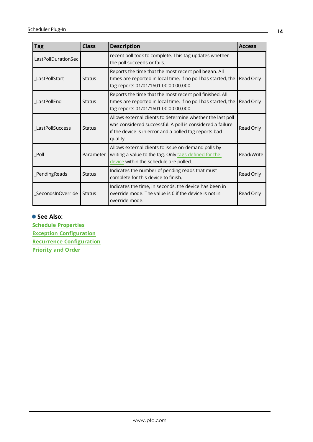| Tag                 | <b>Class</b>  | <b>Description</b>                                                                                                                                                                            | <b>Access</b> |
|---------------------|---------------|-----------------------------------------------------------------------------------------------------------------------------------------------------------------------------------------------|---------------|
| LastPollDurationSec |               | recent poll took to complete. This tag updates whether<br>the poll succeeds or fails.                                                                                                         |               |
| LastPollStart       | <b>Status</b> | Reports the time that the most recent poll began. All<br>times are reported in local time. If no poll has started, the<br>tag reports 01/01/1601 00:00:00.000.                                | Read Only     |
| LastPollEnd         | <b>Status</b> | Reports the time that the most recent poll finished. All<br>times are reported in local time. If no poll has started, the<br>tag reports 01/01/1601 00:00:00.000.                             | Read Only     |
| LastPollSuccess     | <b>Status</b> | Allows external clients to determine whether the last poll<br>was considered successful. A poll is considered a failure<br>if the device is in error and a polled tag reports bad<br>quality. | Read Only     |
| Poll                | Parameter     | Allows external clients to issue on-demand polls by<br>writing a value to the tag. Only tags defined for the<br>device within the schedule are polled.                                        | Read/Write    |
| PendingReads        | <b>Status</b> | Indicates the number of pending reads that must<br>complete for this device to finish.                                                                                                        | Read Only     |
| SecondsInOverride   | <b>Status</b> | Indicates the time, in seconds, the device has been in<br>override mode. The value is 0 if the device is not in<br>override mode.                                                             | Read Only     |

### **See Also:**

**Schedule [Properties](#page-6-0) Exception [Configuration](#page-8-0) Recurrence [Configuration](#page-7-0) [Priority](#page-17-0) and Order**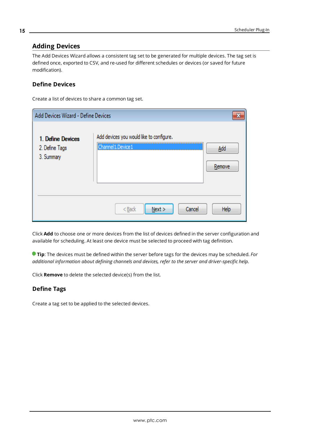### <span id="page-14-0"></span>**Adding Devices**

The Add Devices Wizard allows a consistent tag set to be generated for multiple devices. The tag set is defined once, exported to CSV, and re-used for different schedules or devices (or saved for future modification).

### **Define Devices**

Create a list of devices to share a common tag set.

| Add Devices Wizard - Define Devices               |                                                                 | X             |
|---------------------------------------------------|-----------------------------------------------------------------|---------------|
| 1. Define Devices<br>2. Define Tags<br>3. Summary | Add devices you would like to configure.<br>Channel 1. Device 1 | Add<br>Remove |
|                                                   | Cancel<br>$Back$<br>Next                                        | Help          |

Click **Add** to choose one or more devices from the list of devices defined in the server configuration and available for scheduling. At least one device must be selected to proceed with tag definition.

**Tip**: The devices must be defined within the server before tags for the devices may be scheduled. *For additional information about defining channels and devices, refer to the server and driver-specific help.*

Click **Remove** to delete the selected device(s) from the list.

### **Define Tags**

Create a tag set to be applied to the selected devices.

**15**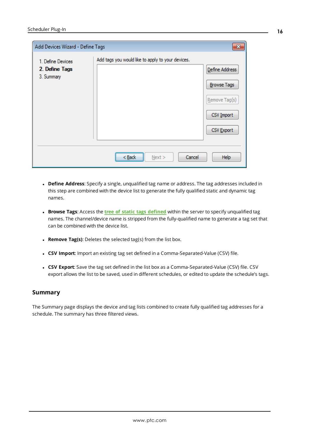| Add Devices Wizard - Define Tags                  |                                                   | $\overline{\mathbf{x}}$                                                           |
|---------------------------------------------------|---------------------------------------------------|-----------------------------------------------------------------------------------|
| 1. Define Devices<br>2. Define Tags<br>3. Summary | Add tags you would like to apply to your devices. | Define Address<br><b>Browse Tags</b><br>Remove Tag(s)<br>CSV Import<br>CSV Export |
|                                                   | Cancel<br>Next ><br>< Back                        | Help                                                                              |

- <sup>l</sup> **Define Address**: Specify a single, unqualified tag name or address. The tag addresses included in this step are combined with the device list to generate the fully qualified static and dynamic tag names.
- <sup>l</sup> **Browse Tags**: Access the **tree of static tags [defined](#page-11-0)** within the server to specify unqualified tag names. The channel/device name is stripped from the fully-qualified name to generate a tag set that can be combined with the device list.
- <sup>l</sup> **Remove Tag(s)**: Deletes the selected tag(s) from the list box.
- <sup>l</sup> **CSV Import**: Import an existing tag set defined in a Comma-Separated-Value (CSV) file.
- <sup>l</sup> **CSV Export**: Save the tag set defined in the list box as a Comma-Separated-Value (CSV) file. CSV export allows the list to be saved, used in different schedules, or edited to update the schedule's tags.

#### **Summary**

The Summary page displays the device and tag lists combined to create fully qualified tag addresses for a schedule. The summary has three filtered views.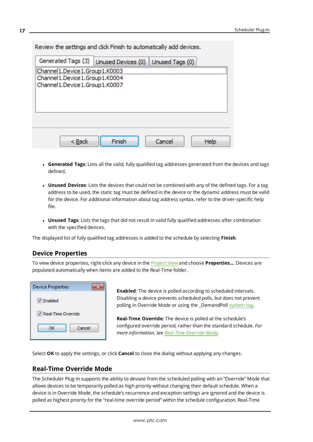| Review the settings and click Finish to automatically add devices.                                             |        |        |      |
|----------------------------------------------------------------------------------------------------------------|--------|--------|------|
| Generated Tags (3)   Unused Devices (0)   Unused Tags (0)                                                      |        |        |      |
| Channel 1.Device 1.Group 1.K0003<br>Channel 1. Device 1. Group 1. K0004<br>Channel 1. Device 1. Group 1. K0007 |        |        |      |
|                                                                                                                |        |        |      |
| < Back                                                                                                         | Finish | Cancel | Help |

- <sup>l</sup> **Generated Tags**: Lists all the valid, fully qualified tag addresses generated from the devices and tags defined.
- **Unused Devices**: Lists the devices that could not be combined with any of the defined tags. For a tag address to be used, the static tag must be defined in the device or the dynamic address must be valid for the device. For additional information about tag address syntax, refer to the driver-specific help file.
- **· Unused Tags**: Lists the tags that did not result in valid fully qualified addresses after combination with the specified devices.

<span id="page-16-0"></span>The displayed list of fully qualified tag addresses is added to the schedule by selecting **Finish**.

### **Device Properties**

To view device properties, right-click any device in the [Project](#page-4-0) View and choose **Properties...**. Devices are populated automatically when items are added to the Real-Time folder.

| <b>Device Properties</b>    |  |
|-----------------------------|--|
| V Enabled                   |  |
| <b>V</b> Real-Time Override |  |
| Cancel<br>ОΚ                |  |

**Enabled**: The device is polled according to scheduled intervals. Disabling a device prevents scheduled polls, but does not prevent polling in Override Mode or using the \_DemandPoll [system](#page-12-0) tag.

**Real-Time Override**: The device is polled at the schedule's configured override period, rather than the standard schedule. *For more information, see [Real-Time](#page-16-1) Override Mode.*

<span id="page-16-1"></span>Select **OK** to apply the settings, or click **Cancel** to close the dialog without applying any changes.

### **Real-Time Override Mode**

The Scheduler Plug-In supports the ability to deviate from the scheduled polling with an "Override" Mode that allows devices to be temporarily polled as high priority without changing their default schedule. When a device is in Override Mode, the schedule's recurrence and exception settings are ignored and the device is polled as highest priority for the "real-time override period" within the schedule configuration. Real-Time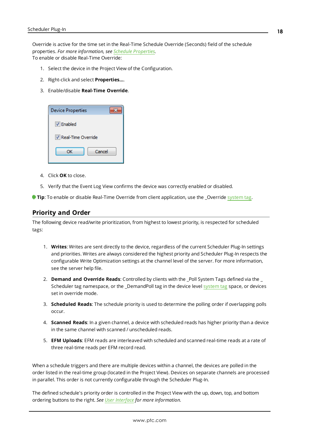Override is active for the time set in the Real-Time Schedule Override (Seconds) field of the schedule properties. *For more information, see Schedule [Properties.](#page-6-0)* To enable or disable Real-Time Override:

- 1. Select the device in the Project View of the Configuration.
- 2. Right-click and select **Properties…**.
- 3. Enable/disable **Real-Time Override**.

| <b>Device Properties</b>    |
|-----------------------------|
| $\nabla$ Enabled            |
| <b>V</b> Real-Time Override |
| Cancel<br>ОК                |
|                             |

- 4. Click **OK** to close.
- 5. Verify that the Event Log View confirms the device was correctly enabled or disabled.

<span id="page-17-0"></span>**Tip**: To enable or disable Real-Time Override from client application, use the \_Override [system](#page-12-0) tag.

#### **Priority and Order**

The following device read/write prioritization, from highest to lowest priority, is respected for scheduled tags:

- 1. **Writes**: Writes are sent directly to the device, regardless of the current Scheduler Plug-In settings and priorities. Writes are always considered the highest priority and Scheduler Plug-In respects the configurable Write Optimization settings at the channel level of the server. For more information, see the server help file.
- 2. **Demand and Override Reads**: Controlled by clients with the \_Poll System Tags defined via the \_ Scheduler tag namespace, or the \_DemandPoll tag in the device level [system](#page-12-0) tag space, or devices set in override mode.
- 3. **Scheduled Reads**: The schedule priority is used to determine the polling order if overlapping polls occur.
- 4. **Scanned Reads**: In a given channel, a device with scheduled reads has higher priority than a device in the same channel with scanned / unscheduled reads.
- 5. **EFM Uploads**: EFM reads are interleaved with scheduled and scanned real-time reads at a rate of three real-time reads per EFM record read.

When a schedule triggers and there are multiple devices within a channel, the devices are polled in the order listed in the real-time group (located in the Project View). Devices on separate channels are processed in parallel. This order is not currently configurable through the Scheduler Plug-In.

The defined schedule's priority order is controlled in the Project View with the up, down, top, and bottom ordering buttons to the right. *See User [Interface](#page-4-0) for more information.*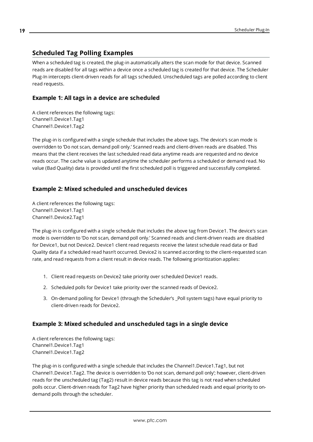### <span id="page-18-0"></span>**Scheduled Tag Polling Examples**

When a scheduled tag is created, the plug-in automatically alters the scan mode for that device. Scanned reads are disabled for all tags within a device once a scheduled tag is created for that device. The Scheduler Plug-In intercepts client-driven reads for all tags scheduled. Unscheduled tags are polled according to client read requests.

### **Example 1: All tags in a device are scheduled**

A client references the following tags: Channel1.Device1.Tag1 Channel1.Device1.Tag2

The plug-in is configured with a single schedule that includes the above tags. The device's scan mode is overridden to 'Do not scan, demand poll only.' Scanned reads and client-driven reads are disabled. This means that the client receives the last scheduled read data anytime reads are requested and no device reads occur. The cache value is updated anytime the scheduler performs a scheduled or demand read. No value (Bad Quality) data is provided until the first scheduled poll is triggered and successfully completed.

### **Example 2: Mixed scheduled and unscheduled devices**

A client references the following tags: Channel1.Device1.Tag1 Channel1.Device2.Tag1

The plug-in is configured with a single schedule that includes the above tag from Device1. The device's scan mode is overridden to 'Do not scan, demand poll only.' Scanned reads and client-driven reads are disabled for Device1, but not Device2. Device1 client read requests receive the latest schedule read data or Bad Quality data if a scheduled read hasn't occurred. Device2 is scanned according to the client-requested scan rate, and read requests from a client result in device reads. The following prioritization applies:

- 1. Client read requests on Device2 take priority over scheduled Device1 reads.
- 2. Scheduled polls for Device1 take priority over the scanned reads of Device2.
- 3. On-demand polling for Device1 (through the Scheduler's \_Poll system tags) have equal priority to client-driven reads for Device2.

### **Example 3: Mixed scheduled and unscheduled tags in a single device**

A client references the following tags: Channel1.Device1.Tag1 Channel1.Device1.Tag2

The plug-in is configured with a single schedule that includes the Channel1.Device1.Tag1, but not Channel1.Device1.Tag2. The device is overridden to 'Do not scan, demand poll only'; however, client-driven reads for the unscheduled tag (Tag2) result in device reads because this tag is not read when scheduled polls occur. Client-driven reads for Tag2 have higher priority than scheduled reads and equal priority to ondemand polls through the scheduler.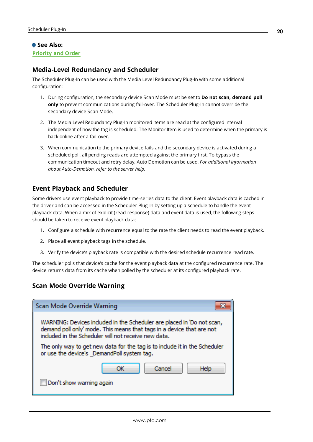### **See Also:**

### <span id="page-19-1"></span>**[Priority](#page-17-0) and Order**

### **Media-Level Redundancy and Scheduler**

The Scheduler Plug-In can be used with the Media Level Redundancy Plug-In with some additional configuration:

- 1. During configuration, the secondary device Scan Mode must be set to **Do not scan, demand poll only** to prevent communications during fail-over. The Scheduler Plug-In cannot override the secondary device Scan Mode.
- 2. The Media Level Redundancy Plug-In monitored items are read at the configured interval independent of how the tag is scheduled. The Monitor Item is used to determine when the primary is back online after a fail-over.
- 3. When communication to the primary device fails and the secondary device is activated during a scheduled poll, all pending reads are attempted against the primary first. To bypass the communication timeout and retry delay, Auto Demotion can be used. *For additional information about Auto-Demotion, refer to the server help.*

### <span id="page-19-2"></span>**Event Playback and Scheduler**

Some drivers use event playback to provide time-series data to the client. Event playback data is cached in the driver and can be accessed in the Scheduler Plug-In by setting up a schedule to handle the event playback data. When a mix of explicit (read-response) data and event data is used, the following steps should be taken to receive event playback data:

- 1. Configure a schedule with recurrence equal to the rate the client needs to read the event playback.
- 2. Place all event playback tags in the schedule.
- 3. Verify the device's playback rate is compatible with the desired schedule recurrence read rate.

The scheduler polls that device's cache for the event playback data at the configured recurrence rate. The device returns data from its cache when polled by the scheduler at its configured playback rate.

### <span id="page-19-0"></span>**Scan Mode Override Warning**

| Scan Mode Override Warning                                                                                                                                                                              |  |  |
|---------------------------------------------------------------------------------------------------------------------------------------------------------------------------------------------------------|--|--|
| WARNING: Devices included in the Scheduler are placed in 'Do not scan,<br>demand poll only' mode. This means that tags in a device that are not<br>included in the Scheduler will not receive new data. |  |  |
| The only way to get new data for the tag is to include it in the Scheduler<br>or use the device's _DemandPoll system tag.                                                                               |  |  |
| Cancel<br>Help<br>ΩK                                                                                                                                                                                    |  |  |
| Don't show warning again                                                                                                                                                                                |  |  |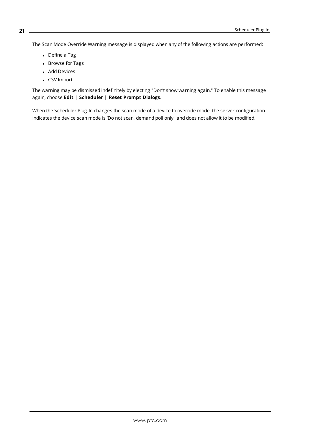The Scan Mode Override Warning message is displayed when any of the following actions are performed:

- Define a Tag
- Browse for Tags
- Add Devices
- CSV Import

The warning may be dismissed indefinitely by electing "Don't show warning again." To enable this message again, choose **Edit | Scheduler | Reset Prompt Dialogs**.

When the Scheduler Plug-In changes the scan mode of a device to override mode, the server configuration indicates the device scan mode is 'Do not scan, demand poll only.' and does not allow it to be modified.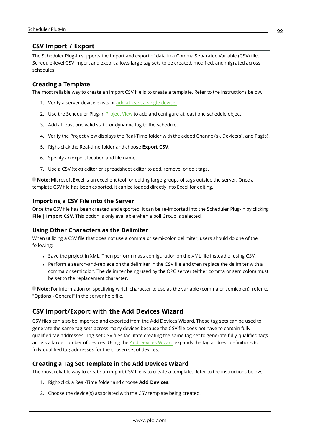### <span id="page-21-0"></span>**CSV Import / Export**

The Scheduler Plug-In supports the import and export of data in a Comma Separated Variable (CSV) file. Schedule-level CSV import and export allows large tag sets to be created, modified, and migrated across schedules.

### **Creating a Template**

The most reliable way to create an import CSV file is to create a template. Refer to the instructions below.

- 1. Verify a server device exists or add at least a single [device.](#page-14-0)
- 2. Use the Scheduler Plug-In [Project](#page-4-0) View to add and configure at least one schedule object.
- 3. Add at least one valid static or dynamic tag to the schedule.
- 4. Verify the Project View displays the Real-Time folder with the added Channel(s), Device(s), and Tag(s).
- 5. Right-click the Real-time folder and choose **Export CSV**.
- 6. Specify an export location and file name.
- 7. Use a CSV (text) editor or spreadsheet editor to add, remove, or edit tags.

**Note:** Microsoft Excel is an excellent tool for editing large groups of tags outside the server. Once a template CSV file has been exported, it can be loaded directly into Excel for editing.

#### **Importing a CSV File into the Server**

Once the CSV file has been created and exported, it can be re-imported into the Scheduler Plug-In by clicking **File** | **Import CSV**. This option is only available when a poll Group is selected.

#### **Using Other Characters as the Delimiter**

When utilizing a CSV file that does not use a comma or semi-colon delimiter, users should do one of the following:

- Save the project in XML. Then perform mass configuration on the XML file instead of using CSV.
- Perform a search-and-replace on the delimiter in the CSV file and then replace the delimiter with a comma or semicolon. The delimiter being used by the OPC server (either comma or semicolon) must be set to the replacement character.

**Note:** For information on specifying which character to use as the variable (comma or semicolon), refer to "Options - General" in the server help file.

### <span id="page-21-1"></span>**CSV Import/Export with the Add Devices Wizard**

CSV files can also be imported and exported from the Add Devices Wizard. These tag sets can be used to generate the same tag sets across many devices because the CSV file does not have to contain fullyqualified tag addresses. Tag-set CSV files facilitate creating the same tag set to generate fully-qualified tags across a large number of devices. Using the Add [Devices](#page-14-0) Wizard expands the tag address definitions to fully-qualified tag addresses for the chosen set of devices.

### **Creating a Tag Set Template in the Add Devices Wizard**

The most reliable way to create an import CSV file is to create a template. Refer to the instructions below.

- 1. Right-click a Real-Time folder and choose **Add Devices**.
- 2. Choose the device(s) associated with the CSV template being created.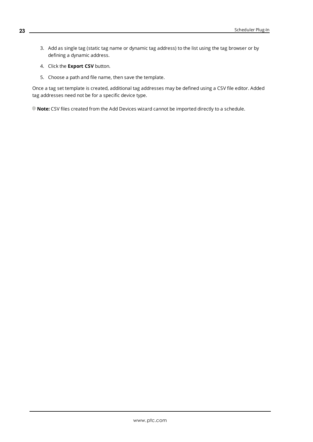- 3. Add as single tag (static tag name or dynamic tag address) to the list using the tag browser or by defining a dynamic address.
- 4. Click the **Export CSV** button.
- 5. Choose a path and file name, then save the template.

Once a tag set template is created, additional tag addresses may be defined using a CSV file editor. Added tag addresses need not be for a specific device type.

**Note:** CSV files created from the Add Devices wizard cannot be imported directly to a schedule.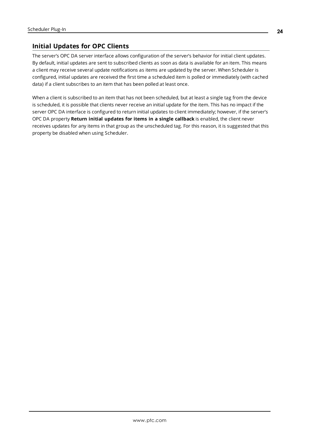### <span id="page-23-1"></span><span id="page-23-0"></span>**Initial Updates for OPC Clients**

The server's OPC DA server interface allows configuration of the server's behavior for initial client updates. By default, initial updates are sent to subscribed clients as soon as data is available for an item. This means a client may receive several update notifications as items are updated by the server. When Scheduler is configured, initial updates are received the first time a scheduled item is polled or immediately (with cached data) if a client subscribes to an item that has been polled at least once.

When a client is subscribed to an item that has not been scheduled, but at least a single tag from the device is scheduled, it is possible that clients never receive an initial update for the item. This has no impact if the server OPC DA interface is configured to return initial updates to client immediately; however, if the server's OPC DA property **Return initial updates for items in a single callback** is enabled, the client never receives updates for any items in that group as the unscheduled tag. For this reason, it is suggested that this property be disabled when using Scheduler.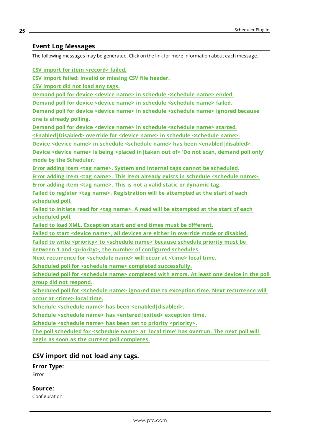### <span id="page-24-0"></span>**Event Log Messages**

The following messages may be generated. Click on the link for more information about each message.

**CSV import for item [<record>](#page-25-1) failed.**

**CSV import failed: invalid or [missing](#page-25-0) CSV file header.**

**CSV [import](#page-24-1) did not load any tags.**

**Demand poll for device <device name> in schedule [<schedule](#page-25-2) name> ended.**

**Demand poll for device <device name> in schedule [<schedule](#page-26-0) name> failed.**

**Demand poll for device <device name> in schedule [<schedule](#page-26-1) name> ignored because one is [already](#page-26-1) polling.**

**Demand poll for device <device name> in schedule [<schedule](#page-26-2) name> started.**

**[<Enabled|Disabled>](#page-27-1) override for <device name> in schedule <schedule name>.**

**Device <device name> in schedule <schedule name> has been [<enabled|disabled>.](#page-26-3)**

**Device <device name> is being <placed [in|taken](#page-27-0) out of> 'Do not scan, demand poll only' mode by the [Scheduler.](#page-27-0)**

**Error adding item <tag name>. System and internal tags cannot be [scheduled.](#page-27-2)**

**Error adding item <tag name>. This item already exists in schedule [<schedule](#page-28-1) name>.**

**Error adding item <tag name>. This is not a valid static or [dynamic](#page-28-0) tag.**

**Failed to register <tag name>. [Registration](#page-29-1) will be attempted at the start of each [scheduled](#page-29-1) poll.**

**Failed to initiate read for <tag name>. A read will be [attempted](#page-28-2) at the start of each [scheduled](#page-28-2) poll.**

**Failed to load XML. [Exception](#page-29-0) start and end times must be different.**

**Failed to start <device name>, all devices are either in override mode or [disabled.](#page-29-2)**

**Failed to write <priority> to [<schedule](#page-30-0) name> because schedule priority must be**

**between 1 and <priority>, the number of [configured](#page-30-0) schedules.**

**Next [recurrence](#page-30-1) for <schedule name> will occur at <time> local time.**

**Scheduled poll for <schedule name> completed [successfully.](#page-31-0)**

**Scheduled poll for <schedule name> [completed](#page-31-1) with errors. At least one device in the poll group did not [respond.](#page-31-1)**

**Scheduled poll for <schedule name> ignored due to exception time. Next [recurrence](#page-31-2) will occur at [<time>](#page-31-2) local time.**

**Schedule <schedule name> has been [<enabled|disabled>.](#page-30-2)**

**Schedule <schedule name> has [<entered|exited>](#page-30-4) exception time.**

**Schedule <schedule name> has been set to priority [<priority>.](#page-30-4)**

**The poll [scheduled](#page-31-3) for <schedule name> at 'local time' has overrun. The next poll will begin as soon as the current poll [completes.](#page-31-3)**

### <span id="page-24-1"></span>**CSV import did not load any tags.**

#### **Error Type:**

Error

**Source:**

Configuration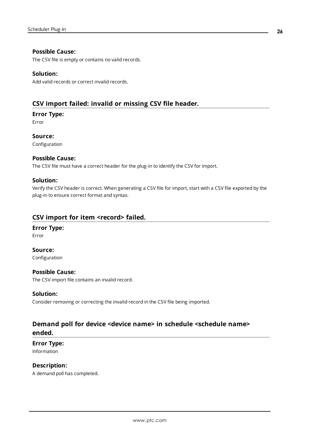### **Possible Cause:**

The CSV file is empty or contains no valid records.

#### **Solution:**

Add valid records or correct invalid records.

### <span id="page-25-0"></span>**CSV import failed: invalid or missing CSV file header.**

#### **Error Type:**

Error

**Source:** Configuration

### **Possible Cause:**

The CSV file must have a correct header for the plug-in to identify the CSV for import.

### **Solution:**

Verify the CSV header is correct. When generating a CSV file for import, start with a CSV file exported by the plug-in to ensure correct format and syntax.

### <span id="page-25-1"></span>**CSV import for item <record> failed.**

### **Error Type:**

Error

**Source:** Configuration

#### **Possible Cause:**

The CSV import file contains an invalid record.

#### **Solution:**

Consider removing or correcting the invalid record in the CSV file being imported.

### <span id="page-25-2"></span>**Demand poll for device <device name> in schedule <schedule name> ended.**

#### **Error Type:** Information

### **Description:**

A demand poll has completed.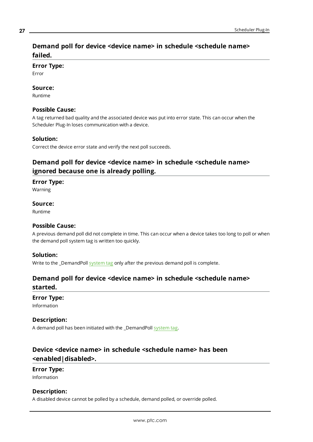### <span id="page-26-0"></span>**Demand poll for device <device name> in schedule <schedule name> failed.**

#### **Error Type:**

Error

#### **Source:**

Runtime

#### **Possible Cause:**

A tag returned bad quality and the associated device was put into error state. This can occur when the Scheduler Plug-In loses communication with a device.

#### **Solution:**

<span id="page-26-1"></span>Correct the device error state and verify the next poll succeeds.

### **Demand poll for device <device name> in schedule <schedule name> ignored because one is already polling.**

#### **Error Type:**

Warning

#### **Source:**

Runtime

### **Possible Cause:**

A previous demand poll did not complete in time. This can occur when a device takes too long to poll or when the demand poll system tag is written too quickly.

#### **Solution:**

<span id="page-26-2"></span>Write to the \_DemandPoll [system](#page-12-0) tag only after the previous demand poll is complete.

### **Demand poll for device <device name> in schedule <schedule name> started.**

#### **Error Type:**

Information

#### **Description:**

A demand poll has been initiated with the \_DemandPoll [system](#page-12-0) tag.

### <span id="page-26-3"></span>**Device <device name> in schedule <schedule name> has been <enabled|disabled>.**

#### **Error Type:**

Information

### **Description:**

A disabled device cannot be polled by a schedule, demand polled, or override polled.

**27**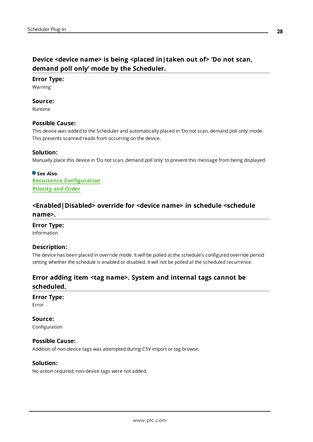### <span id="page-27-0"></span>**Device <device name> is being <placed in|taken out of> 'Do not scan, demand poll only' mode by the Scheduler.**

#### **Error Type:**

Warning

### **Source:**

Runtime

#### **Possible Cause:**

This device was added to the Scheduler and automatically placed in 'Do not scan, demand poll only' mode. This prevents scanned reads from occurring on the device.

#### **Solution:**

Manually place this device in 'Do not scan, demand poll only' to prevent this message from being displayed.

**See Also**: **Recurrence [Configuration](#page-7-0) [Priority](#page-17-0) and Order**

### <span id="page-27-1"></span>**<Enabled|Disabled> override for <device name> in schedule <schedule name>.**

### **Error Type:**

Information

#### **Description:**

The device has been placed in override mode. It will be polled at the schedule's configured override period setting whether the schedule is enabled or disabled. It will not be polled at the scheduled recurrence.

### <span id="page-27-2"></span>**Error adding item <tag name>. System and internal tags cannot be scheduled.**

#### **Error Type:**

Error

**Source:** Configuration

#### **Possible Cause:**

Addition of non-device tags was attempted during CSV import or tag browse.

#### **Solution:**

No action required; non-device tags were not added.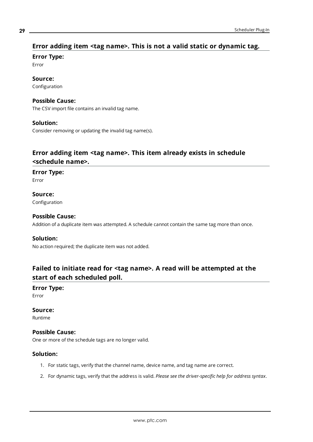### <span id="page-28-0"></span>**Error adding item <tag name>. This is not a valid static or dynamic tag.**

#### **Error Type:**

Error

### **Source:**

Configuration

### **Possible Cause:**

The CSV import file contains an invalid tag name.

#### **Solution:**

Consider removing or updating the invalid tag name(s).

### <span id="page-28-1"></span>**Error adding item <tag name>. This item already exists in schedule <schedule name>.**

#### **Error Type:**

Error

**Source:** Configuration

### **Possible Cause:**

Addition of a duplicate item was attempted. A schedule cannot contain the same tag more than once.

### **Solution:**

No action required; the duplicate item was not added.

### <span id="page-28-2"></span>**Failed to initiate read for <tag name>. A read will be attempted at the start of each scheduled poll.**

#### **Error Type:** Error

**Source:**

Runtime

### **Possible Cause:**

One or more of the schedule tags are no longer valid.

### **Solution:**

- 1. For static tags, verify that the channel name, device name, and tag name are correct.
- 2. For dynamic tags, verify that the address is valid. *Please see the driver-specific help for address syntax*.

**29**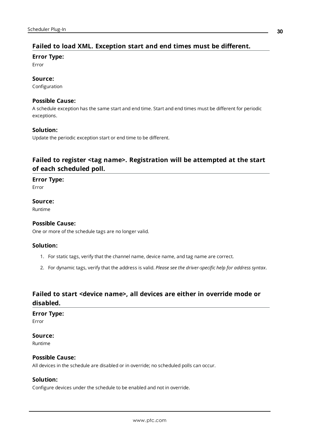### <span id="page-29-0"></span>**Failed to load XML. Exception start and end times must be different.**

#### **Error Type:**

Error

### **Source:**

Configuration

### **Possible Cause:**

A schedule exception has the same start and end time. Start and end times must be different for periodic exceptions.

### **Solution:**

Update the periodic exception start or end time to be different.

### <span id="page-29-1"></span>**Failed to register <tag name>. Registration will be attempted at the start of each scheduled poll.**

### **Error Type:**

Error

## **Source:**

Runtime

### **Possible Cause:**

One or more of the schedule tags are no longer valid.

### **Solution:**

- 1. For static tags, verify that the channel name, device name, and tag name are correct.
- 2. For dynamic tags, verify that the address is valid. *Please see the driver-specific help for address syntax*.

### <span id="page-29-2"></span>**Failed to start <device name>, all devices are either in override mode or disabled.**

#### **Error Type:**

Error

### **Source:**

Runtime

### **Possible Cause:**

All devices in the schedule are disabled or in override; no scheduled polls can occur.

### **Solution:**

Configure devices under the schedule to be enabled and not in override.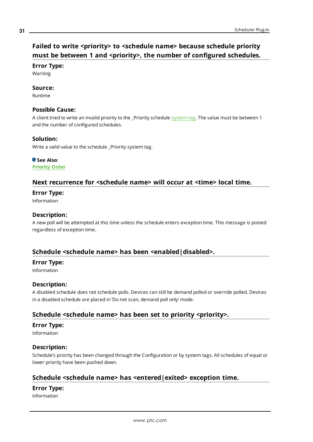### <span id="page-30-0"></span>**Failed to write <priority> to <schedule name> because schedule priority must be between 1 and <priority>, the number of configured schedules.**

### **Error Type:**

Warning

### **Source:**

Runtime

### **Possible Cause:**

A client tried to write an invalid priority to the \_Priority schedule [system](#page-12-0) tag. The value must be between 1 and the number of configured schedules.

### **Solution:**

Write a valid value to the schedule Priority system tag.

#### **See Also: [Priority](#page-17-0) Order**

# <span id="page-30-1"></span>**Next recurrence for <schedule name> will occur at <time> local time.**

### **Error Type:**

Information

### **Description:**

A new poll will be attempted at this time unless the schedule enters exception time. This message is posted regardless of exception time.

### <span id="page-30-2"></span>**Schedule <schedule name> has been <enabled|disabled>.**

### **Error Type:**

Information

### **Description:**

A disabled schedule does not schedule polls. Devices can still be demand polled or override polled. Devices in a disabled schedule are placed in 'Do not scan, demand poll only' mode.

### <span id="page-30-3"></span>**Schedule <schedule name> has been set to priority <priority>.**

### **Error Type:**

Information

### **Description:**

Schedule's priority has been changed through the Configuration or by system tags. All schedules of equal or lower priority have been pushed down.

### <span id="page-30-4"></span>**Schedule <schedule name> has <entered|exited> exception time.**

### **Error Type:**

Information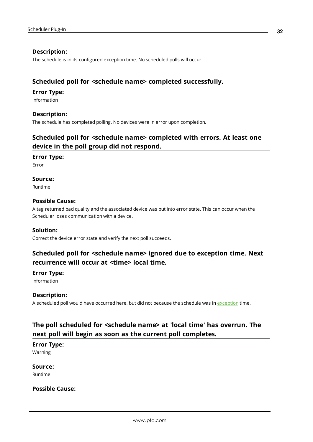### **Description:**

The schedule is in its configured exception time. No scheduled polls will occur.

### <span id="page-31-0"></span>**Scheduled poll for <schedule name> completed successfully.**

#### **Error Type:**

Information

### **Description:**

<span id="page-31-1"></span>The schedule has completed polling. No devices were in error upon completion.

### **Scheduled poll for <schedule name> completed with errors. At least one device in the poll group did not respond.**

#### **Error Type:**

Error

#### **Source:**

Runtime

### **Possible Cause:**

A tag returned bad quality and the associated device was put into error state. This can occur when the Scheduler loses communication with a device.

#### **Solution:**

<span id="page-31-2"></span>Correct the device error state and verify the next poll succeeds.

### **Scheduled poll for <schedule name> ignored due to exception time. Next recurrence will occur at <time> local time.**

#### **Error Type:**

Information

#### **Description:**

A scheduled poll would have occurred here, but did not because the schedule was in [exception](#page-8-0) time.

### <span id="page-31-3"></span>**The poll scheduled for <schedule name> at 'local time' has overrun. The next poll will begin as soon as the current poll completes.**

**Error Type:**

Warning

**Source:** Runtime

### **Possible Cause:**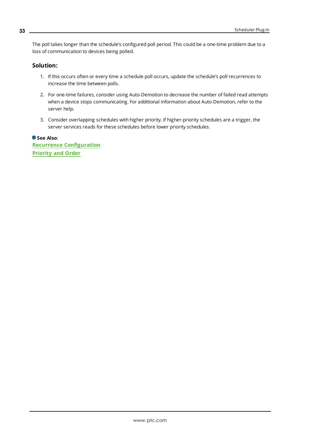The poll takes longer than the schedule's configured poll period. This could be a one-time problem due to a loss of communication to devices being polled.

### **Solution:**

- 1. If this occurs often or every time a schedule poll occurs, update the schedule's poll recurrences to increase the time between polls.
- 2. For one-time failures, consider using Auto-Demotion to decrease the number of failed read attempts when a device stops communicating. For additional information about Auto-Demotion, refer to the server help.
- 3. Consider overlapping schedules with higher priority. If higher-priority schedules are a trigger, the server services reads for these schedules before lower priority schedules.

**See Also**: **Recurrence [Configuration](#page-7-0) [Priority](#page-17-0) and Order**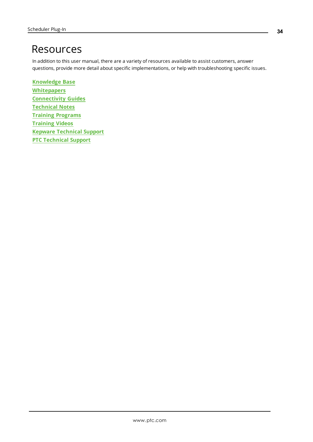## <span id="page-33-0"></span>Resources

In addition to this user manual, there are a variety of resources available to assist customers, answer questions, provide more detail about specific implementations, or help with troubleshooting specific issues.

**[Knowledge](https://www.kepware.com/support/knowledge-base/default.asp) Base [Whitepapers](https://www.kepware.com/en-us/support/whitepapers/) [Connectivity](https://www.kepware.com/en-us/support/resource-library/) Guides [Technical](https://www.kepware.com/en-us/support/resource-library/) Notes Training [Programs](https://www.kepware.com/en-us/products/training/) [Training](https://www.kepware.com/en-us/support/videos/) Videos Kepware [Technical](https://www.kepware.com/en-us/support/technical-support/) Support PTC [Technical](https://support.ptc.com/appserver/common/login/ssl/login.jsp) Support**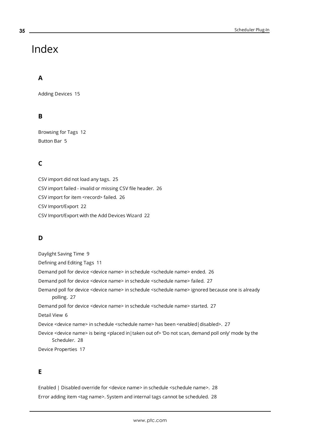## <span id="page-34-0"></span>Index

### **A**

Adding Devices [15](#page-14-0)

### **B**

Browsing for Tags [12](#page-11-0) Button Bar [5](#page-4-1)

### **C**

CSV import did not load any tags. [25](#page-24-1) CSV import failed - invalid or missing CSV file header. [26](#page-25-0) CSV import for item <record> failed. [26](#page-25-1) CSV Import/Export [22](#page-21-0) CSV Import/Export with the Add Devices Wizard [22](#page-21-1)

### **D**

Daylight Saving Time [9](#page-8-1) Defining and Editing Tags [11](#page-10-0) Demand poll for device <device name> in schedule <schedule name> ended. [26](#page-25-2) Demand poll for device <device name> in schedule <schedule name> failed. [27](#page-26-0) Demand poll for device <device name> in schedule <schedule name> ignored because one is already polling. [27](#page-26-1) Demand poll for device <device name> in schedule <schedule name> started. [27](#page-26-2) Detail View [6](#page-5-0) Device <device name> in schedule <schedule name> has been <enabled|disabled>. [27](#page-26-3) Device <device name> is being <placed in|taken out of> 'Do not scan, demand poll only' mode by the Scheduler. [28](#page-27-0)

Device Properties [17](#page-16-0)

### **E**

Enabled | Disabled override for <device name> in schedule <schedule name>. [28](#page-27-1) Error adding item <tag name>. System and internal tags cannot be scheduled. [28](#page-27-2)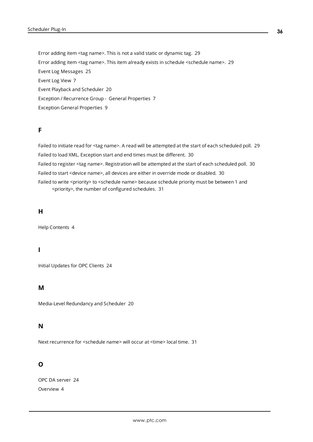Error adding item <tag name>. This is not a valid static or dynamic tag. [29](#page-28-0) Error adding item <tag name>. This item already exists in schedule <schedule name>. [29](#page-28-1) Event Log Messages [25](#page-24-0) Event Log View [7](#page-6-2) Event Playback and Scheduler [20](#page-19-2) Exception / Recurrence Group - General Properties [7](#page-6-1) Exception General Properties [9](#page-8-0)

### **F**

Failed to initiate read for <tag name>. A read will be attempted at the start of each scheduled poll. [29](#page-28-2) Failed to load XML. Exception start and end times must be different. [30](#page-29-0) Failed to register <tag name>. Registration will be attempted at the start of each scheduled poll. [30](#page-29-1) Failed to start <device name>, all devices are either in override mode or disabled. [30](#page-29-2) Failed to write <priority> to <schedule name> because schedule priority must be between 1 and <priority>, the number of configured schedules. [31](#page-30-0)

### **H**

Help Contents [4](#page-3-0)

#### **I**

Initial Updates for OPC Clients [24](#page-23-0)

### **M**

Media-Level Redundancy and Scheduler [20](#page-19-1)

### **N**

Next recurrence for <schedule name> will occur at <time> local time. [31](#page-30-1)

### **O**

OPC DA server [24](#page-23-1) Overview [4](#page-3-1)